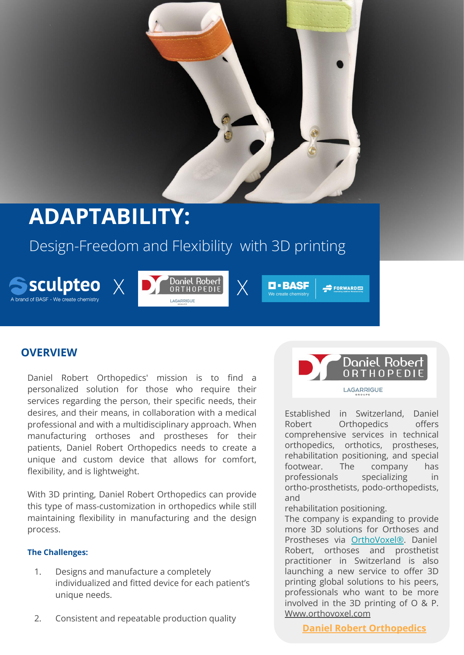

# **ADAPTABILITY:**

# Design-Freedom and Flexibility with 3D printing









 $\Rightarrow$  FORWARD  $\equiv$ 

# **OVERVIEW**

Daniel Robert Orthopedics' mission is to find a personalized solution for those who require their services regarding the person, their specific needs, their desires, and their means, in collaboration with a medical professional and with a multidisciplinary approach. When manufacturing orthoses and prostheses for their patients, Daniel Robert Orthopedics needs to create a unique and custom device that allows for comfort, flexibility, and is lightweight.

With 3D printing, Daniel Robert Orthopedics can provide this type of mass-customization in orthopedics while still maintaining flexibility in manufacturing and the design process.

#### **The Challenges:**

- 1. Designs and manufacture a completely individualized and fitted device for each patient's unique needs.
- 2. Consistent and repeatable production quality

ORTHOPEDIE LAGARRIGUE Established in Switzerland, Daniel Robert Orthopedics offers comprehensive services in technical orthopedics, orthotics, prostheses, rehabilitation positioning, and special

Daniel Robert

footwear. The company has professionals specializing in ortho-prosthetists, podo-orthopedists, and

rehabilitation positioning.

The company is expanding to provide more 3D solutions for Orthoses and Prostheses via [OrthoVoxel®](https://orthovoxel3d.com/). Daniel Robert, orthoses and prosthetist practitioner in Switzerland is also launching a new service to offer 3D printing global solutions to his peers, professionals who want to be more involved in the 3D printing of O & P. [Www.orthovoxel.com](http://www.orthovoxel.com/)

**[Daniel Robert Orthopedics](https://www.orthopedie-robert.ch/new/historique)**